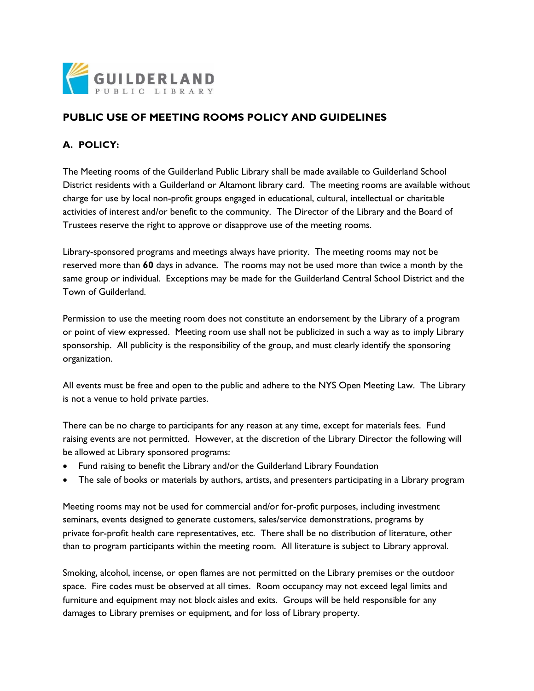

# **PUBLIC USE OF MEETING ROOMS POLICY AND GUIDELINES**

## **A. POLICY:**

The Meeting rooms of the Guilderland Public Library shall be made available to Guilderland School District residents with a Guilderland or Altamont library card. The meeting rooms are available without charge for use by local non-profit groups engaged in educational, cultural, intellectual or charitable activities of interest and/or benefit to the community. The Director of the Library and the Board of Trustees reserve the right to approve or disapprove use of the meeting rooms.

Library-sponsored programs and meetings always have priority. The meeting rooms may not be reserved more than **60** days in advance. The rooms may not be used more than twice a month by the same group or individual. Exceptions may be made for the Guilderland Central School District and the Town of Guilderland.

Permission to use the meeting room does not constitute an endorsement by the Library of a program or point of view expressed. Meeting room use shall not be publicized in such a way as to imply Library sponsorship. All publicity is the responsibility of the group, and must clearly identify the sponsoring organization.

All events must be free and open to the public and adhere to the NYS Open Meeting Law. The Library is not a venue to hold private parties.

There can be no charge to participants for any reason at any time, except for materials fees. Fund raising events are not permitted. However, at the discretion of the Library Director the following will be allowed at Library sponsored programs:

- Fund raising to benefit the Library and/or the Guilderland Library Foundation
- The sale of books or materials by authors, artists, and presenters participating in a Library program

Meeting rooms may not be used for commercial and/or for-profit purposes, including investment seminars, events designed to generate customers, sales/service demonstrations, programs by private for-profit health care representatives, etc. There shall be no distribution of literature, other than to program participants within the meeting room. All literature is subject to Library approval.

Smoking, alcohol, incense, or open flames are not permitted on the Library premises or the outdoor space. Fire codes must be observed at all times. Room occupancy may not exceed legal limits and furniture and equipment may not block aisles and exits. Groups will be held responsible for any damages to Library premises or equipment, and for loss of Library property.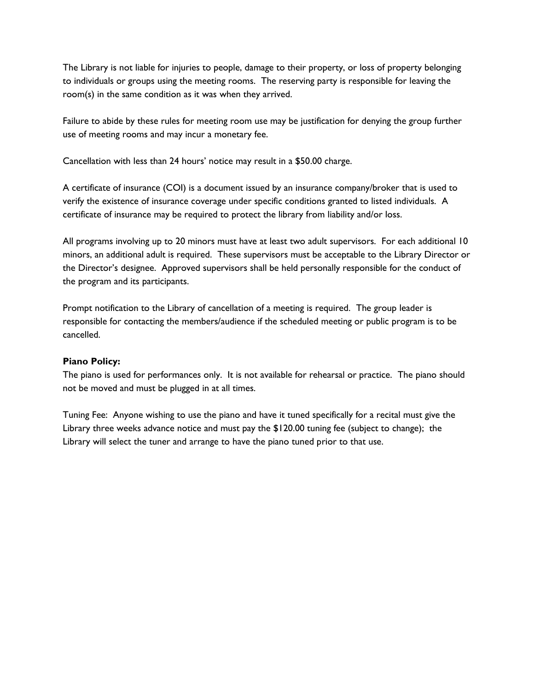The Library is not liable for injuries to people, damage to their property, or loss of property belonging to individuals or groups using the meeting rooms. The reserving party is responsible for leaving the room(s) in the same condition as it was when they arrived.

Failure to abide by these rules for meeting room use may be justification for denying the group further use of meeting rooms and may incur a monetary fee.

Cancellation with less than 24 hours' notice may result in a \$50.00 charge.

A certificate of insurance (COI) is a document issued by an insurance company/broker that is used to verify the existence of insurance coverage under specific conditions granted to listed individuals. A certificate of insurance may be required to protect the library from liability and/or loss.

All programs involving up to 20 minors must have at least two adult supervisors. For each additional 10 minors, an additional adult is required. These supervisors must be acceptable to the Library Director or the Director's designee. Approved supervisors shall be held personally responsible for the conduct of the program and its participants.

Prompt notification to the Library of cancellation of a meeting is required. The group leader is responsible for contacting the members/audience if the scheduled meeting or public program is to be cancelled.

#### **Piano Policy:**

The piano is used for performances only. It is not available for rehearsal or practice. The piano should not be moved and must be plugged in at all times.

Tuning Fee: Anyone wishing to use the piano and have it tuned specifically for a recital must give the Library three weeks advance notice and must pay the \$120.00 tuning fee (subject to change); the Library will select the tuner and arrange to have the piano tuned prior to that use.